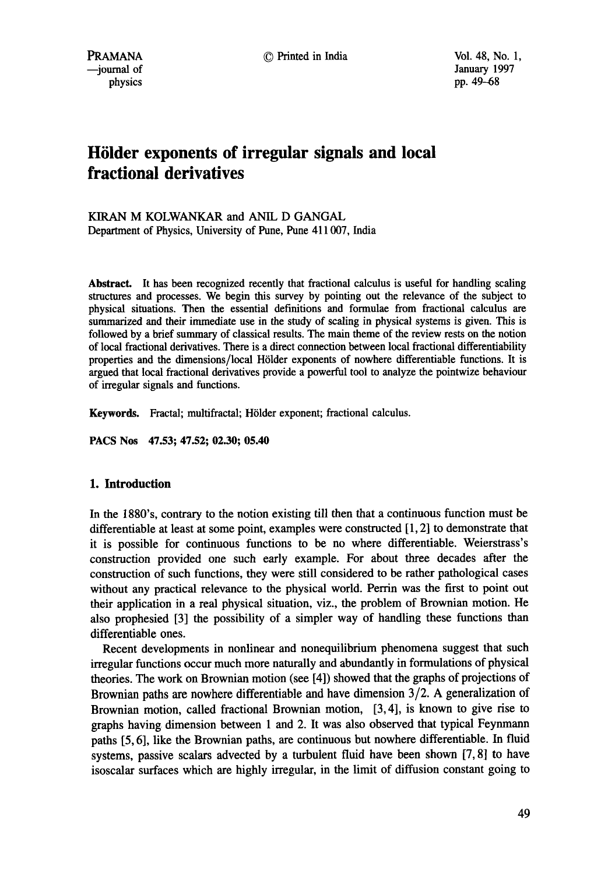--journal of January 1997 physics pp. 49–68

# **Hölder exponents of irregular signals and local fractional derivatives**

KIRAN M KOLWANKAR and ANIL D GANGAL Department of Physics, University of Pune, Pune 411007, India

**Abstract.** It has been recognized recently that fractional calculus is useful for handling scaling structures and processes. We begin this survey by pointing out the relevance of the subject to physical situations. Then the essential definitions and formulae from fractional calculus are summarized and their immediate use in the study of scaling in physical systems is given. This is followed by a brief summary of classical results. The main theme of the review rests on the notion of local fractional derivatives. There is a direct connection between local fractional differentiability properties and the dimensions/local Hölder exponents of nowhere differentiable functions. It is argued that local fractional derivatives provide a powerful tool to analyze the pointwize behaviour of irregular signals and functions.

Keywords. Fractal; multifractal; Hölder exponent; fractional calculus.

**PACS Nos 47.53; 47.52; 02.30; 05.40** 

## **I. Introduction**

In the 1880's, contrary to the notion existing till then that a continuous function must be differentiable at least at some point, examples were constructed [1, 2] to demonstrate that it is possible for continuous functions to be no where differentiable. Weierstrass's construction provided one such early example. For about three decades after the construction of such functions, they were still considered to be rather pathological cases without any practical relevance to the physical world. Perrin was the first to point out their application in a real physical situation, viz., the problem of Brownian motion. He also prophesied [3] the possibility of a simpler way of handling these functions than differentiable ones.

Recent developments in nonlinear and nonequilibrium phenomena suggest that such irregular functions occur much more naturally and abundandy in formulations of physical theories. The work on Brownian motion (see [4]) showed that the graphs of projections of Brownian paths are nowhere differentiable and have dimension 3/2. A generalization of Brownian motion, called fractional Brownian motion, [3, 4], is known to give rise to graphs having dimension between 1 and 2. It was also observed that typical Feynmann paths [5, 6], like the Brownian paths, are continuous but nowhere differentiable. In fluid systems, passive scalars advected by a turbulent fluid have been shown [7, 8] to have isoscalar surfaces which are highly irregular, in the limit of diffusion constant going to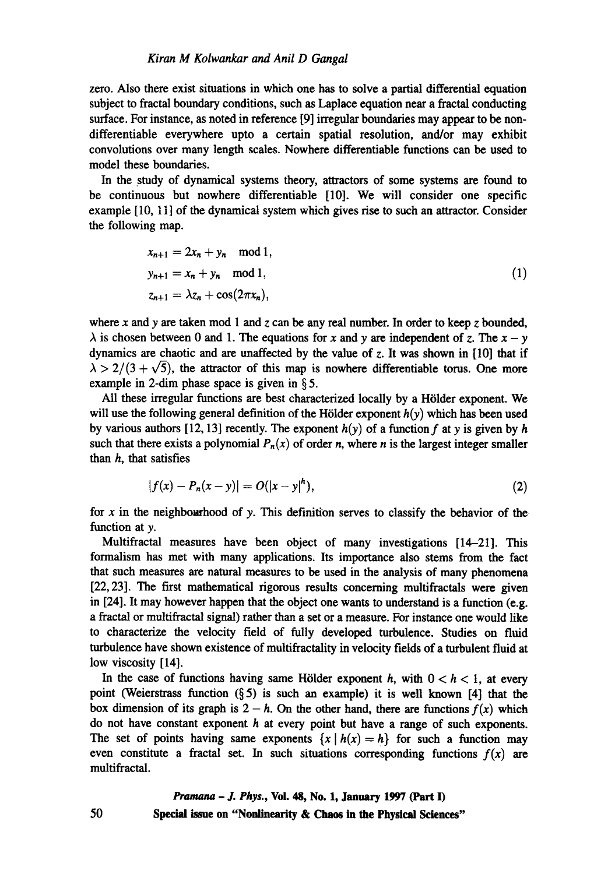zero. Also there exist situations in which one has to solve a partial differential equation subject to fractal boundary conditions, such as Laplace equation near a fractal conducting surface. For instance, as noted in reference [9] irregular boundaries may appear to be nondifferentiable everywhere upto a certain spatial resolution, and/or may exhibit convolutions over many length scales. Nowhere differentiable functions can be used to model these boundaries.

In the study of dynamical systems theory, attractors of some systems are found to be continuous but nowhere differentiable [10]. We will consider one specific example [10, 1 I] of the dynamical system which gives rise to such an attractor. Consider the following map.

$$
x_{n+1} = 2x_n + y_n \mod 1,
$$
  
\n
$$
y_{n+1} = x_n + y_n \mod 1,
$$
  
\n
$$
z_{n+1} = \lambda z_n + \cos(2\pi x_n),
$$
  
\n(1)

where x and y are taken mod 1 and z can be any real number. In order to keep z bounded,  $\lambda$  is chosen between 0 and 1. The equations for x and y are independent of z. The  $x - y$ dynamics are chaotic and are unaffected by the value of z. It was shown in [10] that if  $\lambda > 2/(3 + \sqrt{5})$ , the attractor of this map is nowhere differentiable torus. One more example in 2-dim phase space is given in § 5.

All these irregular functions are best characterized locally by a H61der exponent. We will use the following general definition of the Hölder exponent  $h(y)$  which has been used by various authors [12, 13] recently. The exponent  $h(y)$  of a function f at y is given by h such that there exists a polynomial  $P_n(x)$  of order n, where n is the largest integer smaller than  $h$ , that satisfies

$$
|f(x) - P_n(x - y)| = O(|x - y|^h), \tag{2}
$$

for x in the neighbourhood of y. This definition serves to classify the behavior of the. function at y.

Multifractal measures have been object of many investigations [14-21]. This formalism has met with many applications. Its importance also stems from the fact that such measures are natural measures to be used in the analysis of many phenomena [22, 23]. The first mathematical rigorous results concerning multifractals were given in [24]. It may however happen that the object one wants to understand is a function (e.g. a fractal or multifractal signal) rather than a set or a measure. For instance one would like to characterize the velocity field of fully developed turbulence. Studies on fluid turbulence have shown existence of multifractality in velocity fields of a turbulent fluid at low viscosity [14].

In the case of functions having same Hölder exponent h, with  $0 < h < 1$ , at every point (Weierstrass function  $(\S 5)$  is such an example) it is well known [4] that the box dimension of its graph is  $2 - h$ . On the other hand, there are functions  $f(x)$  which do not have constant exponent  $h$  at every point but have a range of such exponents. The set of points having same exponents  $\{x \mid h(x) = h\}$  for such a function may even constitute a fractal set. In such situations corresponding functions  $f(x)$  are multifractal.

## *Pramana - J. Phys.,* **Vol. 48, No. 1, January 1997 (Part I) Special issue on "Nonlinearity & Chaos in the Physical Sciences"**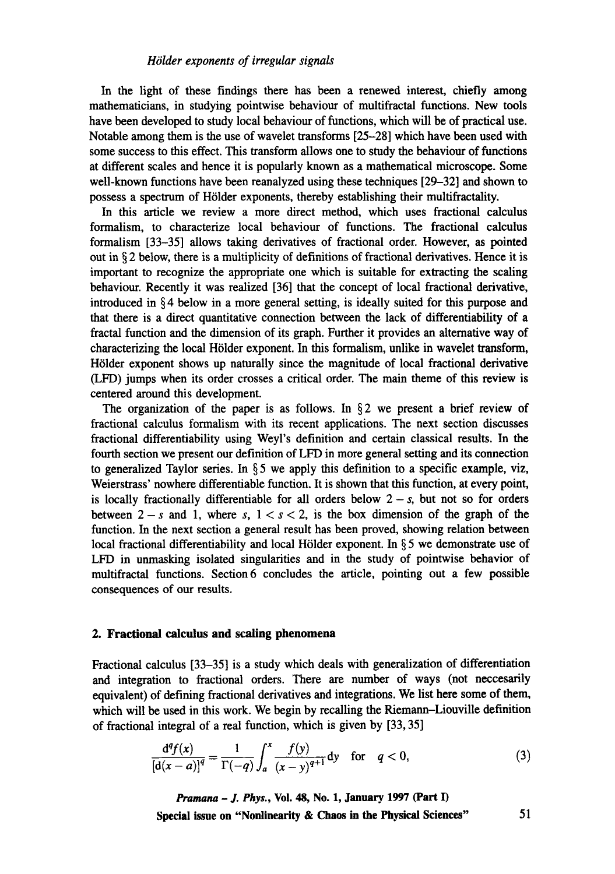In the light of these findings there has been a renewed interest, chiefly among mathematicians, in studying pointwise behaviour of multifractal functions. New tools have been developed to study local behaviour of functions, which will be of practical use. Notable among them is the use of wavelet transforms [25-28] which have been used with some success to this effect. This transform allows one to study the behaviour of functions at different scales and hence it is popularly known as a mathematical microscope. Some well-known functions have been reanalyzed using these techniques [29-32] and shown to possess a spectrum of H61der exponents, thereby establishing their multifractality.

In this article we review a more direct method, which uses fractional calculus formalism, to characterize local behaviour of functions. The fractional calculus formalism [33-35] allows taking derivatives of fractional order. However, as pointed out in § 2 below, there is a multiplicity of definitions of fractional derivatives. Hence it is important to recognize the appropriate one which is suitable for extracting the scaling behaviour. Recently it was realized [36] that the concept of local fractional derivative, introduced in § 4 below in a more general setting, is ideally suited for this purpose and that there is a direct quantitative connection between the lack of differentiability of a fractal function and the dimension of its graph. Further it provides an alternative way of characterizing the local H61der exponent. In this formalism, unlike in wavelet transform, H61der exponent shows up naturally since the magnitude of local fractional derivative (LFD) jumps when its order crosses a critical order. The main theme of this review **is**  centered around this development.

The organization of the paper is as follows. In  $\S 2$  we present a brief review of fractional calculus formalism with its recent applications. The next section discusses fractional differentiability using Weyl's definition and certain classical results. In the fourth section we present our definition of LFD in more general setting and its connection to generalized Taylor series. In  $\S 5$  we apply this definition to a specific example, viz, Weierstrass' nowhere differentiable function. It is shown that this function, at every point, is locally fractionally differentiable for all orders below  $2 - s$ , but not so for orders between  $2 - s$  and 1, where s,  $1 < s < 2$ , is the box dimension of the graph of the function. In the next section a general result has been proved, showing relation between local fractional differentiability and local Hölder exponent. In § 5 we demonstrate use of LFD in unmasking isolated singularities and in the study of pointwise behavior of multifractal functions. Section6 concludes the article, pointing out a few possible consequences of our results.

## **2. Fractional calculus and scaling phenomena**

Fractional calculus [33-35] is a study which deals with generalization of differentiation and integration to fractional orders. There are number of ways (not neccesarily equivalent) of defining fractional derivatives and integrations. We list here some of them, which will be used in this work. We begin by recalling the Riemann-Liouville definition of fractional integral of a real function, which is given by [33, 35]

$$
\frac{d^q f(x)}{[d(x-a)]^q} = \frac{1}{\Gamma(-q)} \int_a^x \frac{f(y)}{(x-y)^{q+1}} dy \quad \text{for} \quad q < 0,
$$
 (3)

*Pramana - J. Phys.,* **Vol. 48, No. 1, January 1997 (Part I) Special issue on "Nonlinearity & Chaos in the Physical Sciences"** 51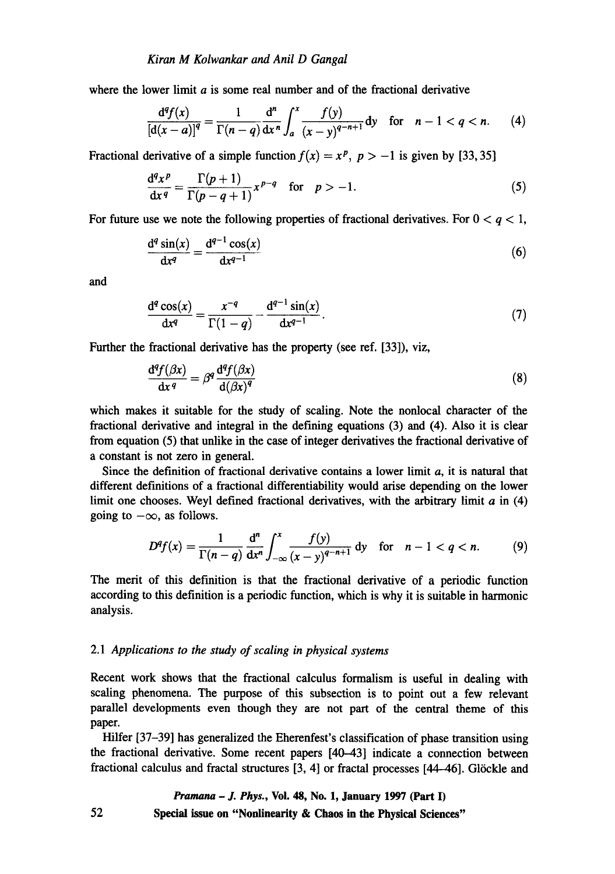where the lower limit  $\alpha$  is some real number and of the fractional derivative

$$
\frac{d^{q} f(x)}{[d(x-a)]^{q}} = \frac{1}{\Gamma(n-q)} \frac{d^{n}}{dx^{n}} \int_{a}^{x} \frac{f(y)}{(x-y)^{q-n+1}} dy \text{ for } n-1 < q < n.
$$
 (4)

Fractional derivative of a simple function  $f(x) = x^p$ ,  $p > -1$  is given by [33, 35]

$$
\frac{d^q x^p}{dx^q} = \frac{\Gamma(p+1)}{\Gamma(p-q+1)} x^{p-q} \quad \text{for} \quad p > -1.
$$
 (5)

For future use we note the following properties of fractional derivatives. For  $0 < q < 1$ ,

$$
\frac{\mathrm{d}^q \sin(x)}{\mathrm{d}x^q} = \frac{\mathrm{d}^{q-1} \cos(x)}{\mathrm{d}x^{q-1}}\tag{6}
$$

and

$$
\frac{d^{q} \cos(x)}{dx^{q}} = \frac{x^{-q}}{\Gamma(1-q)} - \frac{d^{q-1} \sin(x)}{dx^{q-1}}.
$$
 (7)

Further the fractional derivative has the property (see ref. [33]), viz,

$$
\frac{d^q f(\beta x)}{dx^q} = \beta^q \frac{d^q f(\beta x)}{d(\beta x)^q}
$$
 (8)

which makes it suitable for the study of scaling. Note the nonlocal character of the fractional derivative and integral in the defining equations (3) and (4). Also it is clear from equation (5) that unlike in the case of integer derivatives the fractional derivative of a constant is not zero in general.

Since the definition of fractional derivative contains a lower limit a, it is natural that different definitions of a fractional differentiability would arise depending on the lower limit one chooses. Weyl defined fractional derivatives, with the arbitrary limit  $a$  in (4) going to  $-\infty$ , as follows.

$$
D^{q} f(x) = \frac{1}{\Gamma(n-q)} \frac{d^{n}}{dx^{n}} \int_{-\infty}^{x} \frac{f(y)}{(x-y)^{q-n+1}} dy \text{ for } n-1 < q < n.
$$
 (9)

The merit of this definition is that the fractional derivative of a periodic function according to this definition is a periodic function, which is why it is suitable in harmonic analysis.

## *2.1 Applications to the study of scaling in physical systems*

Recent work shows that the fractional calculus formalism is useful in dealing with scaling phenomena. The purpose of this subsection is to point out a few relevant parallel developments even though they are not part of the central theme of this paper.

Hilfer [37-39] has generalized the Eherenfest's classification of phase transition using the fractional derivative. Some recent papers [40-43] indicate a connection between fractional calculus and fractal structures [3, 4] or fractal processes [44--46]. G16ckle and

## *Pramana - J. Phys.,* **Vol. 48, No. 1, January 1997 (Part I)**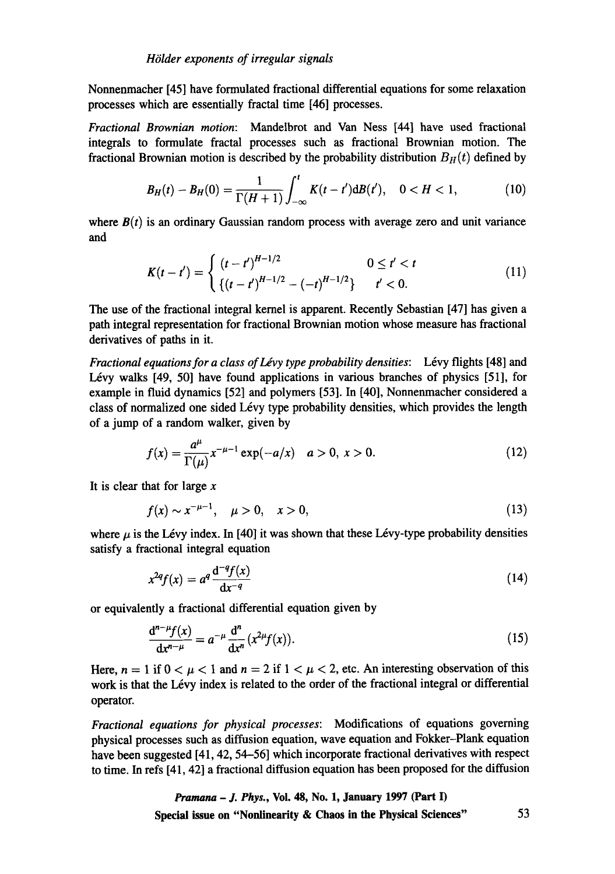Nonnenmacher [45] have formulated fractional differential equations for some relaxation processes which are essentially fractal time [46] processes.

*Fractional Brownian motion:* Mandelbrot and Van Ness [44] have used fractional integrals to formulate fractal processes such as fractional Brownian motion. The fractional Brownian motion is described by the probability distribution  $B_H(t)$  defined by

$$
B_H(t) - B_H(0) = \frac{1}{\Gamma(H+1)} \int_{-\infty}^t K(t-t') \mathrm{d}B(t'), \quad 0 < H < 1,\tag{10}
$$

where  $B(t)$  is an ordinary Gaussian random process with average zero and unit variance and

$$
K(t-t') = \begin{cases} (t-t')^{H-1/2} & 0 \le t' < t \\ \{(t-t')^{H-1/2} - (-t)^{H-1/2}\} & t' < 0. \end{cases}
$$
(11)

The use of the fractional integral kernel is apparent. Recently Sebastian [47] has given a path integral representation for fractional Brownian motion whose measure has fractional derivatives of paths in it.

*Fractional equations for a class of Lévy type probability densities:* Lévy flights [48] and Lévy walks  $[49, 50]$  have found applications in various branches of physics  $[51]$ , for example in fluid dynamics [52] and polymers [53]. In [40], Nonnenmacher considered a class of normalized one sided Lévy type probability densities, which provides the length of a jump of a random walker, given by

$$
f(x) = \frac{a^{\mu}}{\Gamma(\mu)} x^{-\mu - 1} \exp(-a/x) \quad a > 0, \ x > 0.
$$
 (12)

It is clear that for large  $x$ 

$$
f(x) \sim x^{-\mu - 1}, \quad \mu > 0, \quad x > 0,
$$
\n(13)

where  $\mu$  is the Lévy index. In [40] it was shown that these Lévy-type probability densities satisfy a fractional integral equation

$$
x^{2q}f(x) = a^q \frac{d^{-q}f(x)}{dx^{-q}}
$$
 (14)

or equivalently a fractional differential equation given by

$$
\frac{d^{n-\mu}f(x)}{dx^{n-\mu}} = a^{-\mu} \frac{d^n}{dx^n} (x^{2\mu}f(x)).
$$
\n(15)

Here,  $n = 1$  if  $0 < \mu < 1$  and  $n = 2$  if  $1 < \mu < 2$ , etc. An interesting observation of this work is that the Lévy index is related to the order of the fractional integral or differential operator.

*Fractional equations for physical processes:* Modifications of equations governing physical processes such as diffusion equation, wave equation and Fokker-Plank equation have been suggested [41, 42, 54-56] which incorporate fractional derivatives with respect to time. In refs [41, 42] a fractional diffusion equation has been proposed for the diffusion

> *Pramana - J. Phys.,* **Vol. 48, No. 1, January 1997 (Part I) Special issue on "Nonlinearity & Chaos in the Physical Sciences"** 53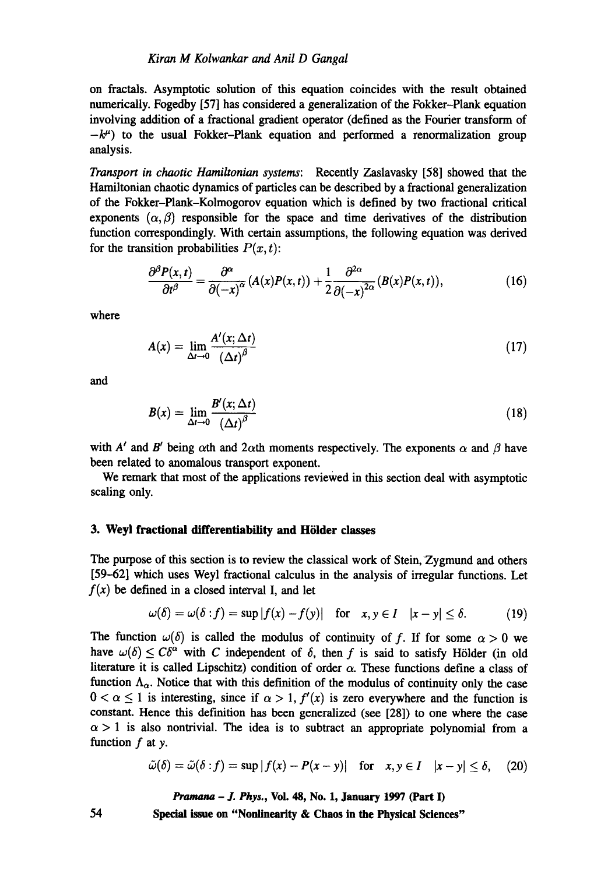## *Kiran M Kolwankar and Anil D Gangal*

on fractals. Asymptotic solution of this equation coincides with the result obtained numerically. Fogedby [57] has considered a generalization of the Fokker-Plank equation involving addition of a fractional gradient operator (defined as the Fourier transform of  $-k^{\mu}$  to the usual Fokker-Plank equation and performed a renormalization group analysis.

*Transport in chaotic Hamiltonian systems:* Recently Zaslavasky [58] showed that the Hamiltonian chaotic dynamics of particles can be described by a fractional generalization of the Fokker-Plank-Kolmogorov equation which is defined by two fractional critical exponents  $(\alpha, \beta)$  responsible for the space and time derivatives of the distribution function correspondingly. With certain assumptions, the following equation was derived for the transition probabilities  $P(x, t)$ :

$$
\frac{\partial^{\beta} P(x,t)}{\partial t^{\beta}} = \frac{\partial^{\alpha}}{\partial (-x)^{\alpha}} (A(x)P(x,t)) + \frac{1}{2} \frac{\partial^{2\alpha}}{\partial (-x)^{2\alpha}} (B(x)P(x,t)),
$$
\n(16)

where

$$
A(x) = \lim_{\Delta t \to 0} \frac{A'(x; \Delta t)}{(\Delta t)^{\beta}}
$$
(17)

and

$$
B(x) = \lim_{\Delta t \to 0} \frac{B'(x; \Delta t)}{(\Delta t)^{\beta}}
$$
(18)

with A' and B' being  $\alpha$ th and 2 $\alpha$ th moments respectively. The exponents  $\alpha$  and  $\beta$  have been related to anomalous transport exponent.

We remark that most of the applications reviewed in this section deal with asymptotic scaling only.

## **3. Weyl fractional differentiability and Hiilder classes**

The purpose of this section is to review the classical work of Stein, Zygmund and others [59-62] which uses Weyl fractional calculus in the analysis of irregular functions. Let  $f(x)$  be defined in a closed interval I, and let

$$
\omega(\delta) = \omega(\delta : f) = \sup |f(x) - f(y)| \quad \text{for} \quad x, y \in I \quad |x - y| \le \delta. \tag{19}
$$

The function  $\omega(\delta)$  is called the modulus of continuity of f. If for some  $\alpha > 0$  we have  $\omega(\delta) \leq C\delta^{\alpha}$  with C independent of  $\delta$ , then f is said to satisfy Hölder (in old literature it is called Lipschitz) condition of order  $\alpha$ . These functions define a class of function  $\Lambda_{\alpha}$ . Notice that with this definition of the modulus of continuity only the case  $0 < \alpha \le 1$  is interesting, since if  $\alpha > 1$ ,  $f'(x)$  is zero everywhere and the function is constant. Hence this definition has been generalized (see [28]) to one where the case  $\alpha > 1$  is also nontrivial. The idea is to subtract an appropriate polynomial from a function  $f$  at  $y$ .

$$
\tilde{\omega}(\delta) = \tilde{\omega}(\delta : f) = \sup |f(x) - P(x - y)| \quad \text{for} \quad x, y \in I \quad |x - y| \le \delta, \tag{20}
$$

*Pramana - J. Phys.,* **Vol. 48, No. 1, January 1997 (Part I)** 

**Special issue on "Nonlinearity & Chaos in the Physical Sciences"**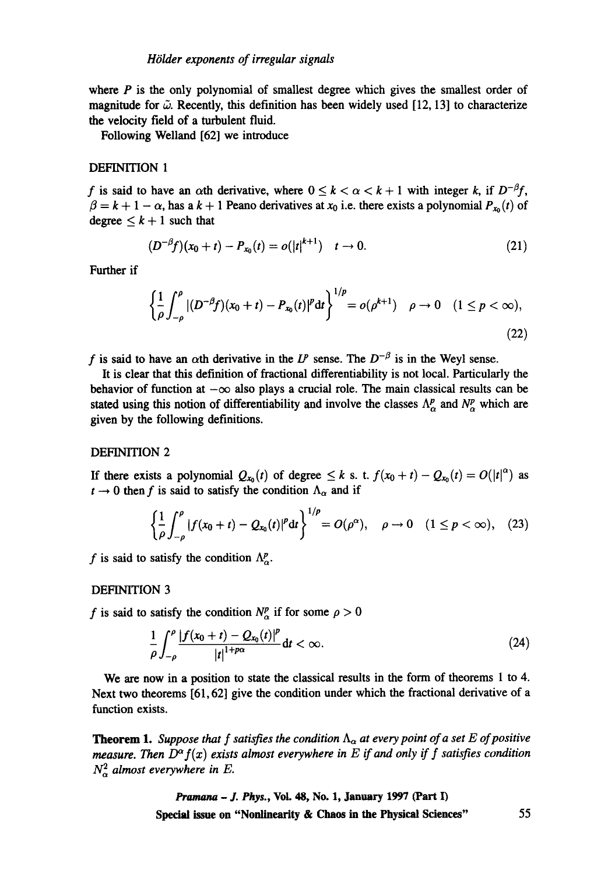where  $P$  is the only polynomial of smallest degree which gives the smallest order of magnitude for  $\tilde{\omega}$ . Recently, this definition has been widely used [12, 13] to characterize the velocity field of a turbulent fluid.

Following Welland [62] we introduce

### DEFINITION 1

f is said to have an oth derivative, where  $0 \le k < \alpha < k+1$  with integer k, if  $D^{-\beta}f$ ,  $\beta = k + 1 - \alpha$ , has a k + 1 Peano derivatives at  $x_0$  i.e. there exists a polynomial  $P_{x_0}(t)$  of degree  $\leq k+1$  such that

$$
(D^{-\beta}f)(x_0+t)-P_{x_0}(t)=o(|t|^{k+1}) \quad t\to 0. \tag{21}
$$

Further if

$$
\left\{\frac{1}{\rho}\int_{-\rho}^{\rho} |(D^{-\beta}f)(x_0+t)-P_{x_0}(t)|^p dt\right\}^{1/p} = o(\rho^{k+1}) \quad \rho \to 0 \quad (1 \le p < \infty),\tag{22}
$$

f is said to have an oth derivative in the  $L^p$  sense. The  $D^{-\beta}$  is in the Weyl sense.

It is clear that this definition of fractional differentiability is not local. Particularly the behavior of function at  $-\infty$  also plays a crucial role. The main classical results can be stated using this notion of differentiability and involve the classes  $\Lambda^p_\alpha$  and  $N^p_\alpha$  which are given by the following definitions.

### DEFINITION 2

If there exists a polynomial  $Q_{x_0}(t)$  of degree  $\leq k$  s. t.  $f(x_0 + t) - Q_{x_0}(t) = O(|t|^{\alpha})$  as  $t \to 0$  then f is said to satisfy the condition  $\Lambda_{\alpha}$  and if

$$
\left\{\frac{1}{\rho}\int_{-\rho}^{\rho}|f(x_0+t)-Q_{x_0}(t)|^p\mathrm{d}t\right\}^{1/p}=O(\rho^{\alpha}),\quad\rho\to 0\quad(1\leq p<\infty),\quad(23)
$$

f is said to satisfy the condition  $\Lambda^p_\alpha$ .

DEFINITION 3

f is said to satisfy the condition  $N^p_\alpha$  if for some  $\rho > 0$ 

$$
\frac{1}{\rho} \int_{-\rho}^{\rho} \frac{|f(x_0 + t) - Q_{x_0}(t)|^p}{|t|^{1 + p\alpha}} dt < \infty.
$$
 (24)

We are now in a position to state the classical results in the form of theorems 1 to 4. Next two theorems [61, 62] give the condition under which the fractional derivative of a function exists.

**Theorem 1.** Suppose that f satisfies the condition  $\Lambda_{\alpha}$  at every point of a set E of positive *measure. Then*  $D^{\alpha} f(x)$  *exists almost everywhere in E if and only if f satisfies condition*  $N^2_{\alpha}$  almost everywhere in E.

> *Pramana - J. Phys.,* **VoL 48, No. 1, January 1997 (Part I) Special issue on "Nonlinearity & Chaos in the Physical Sciences"** 55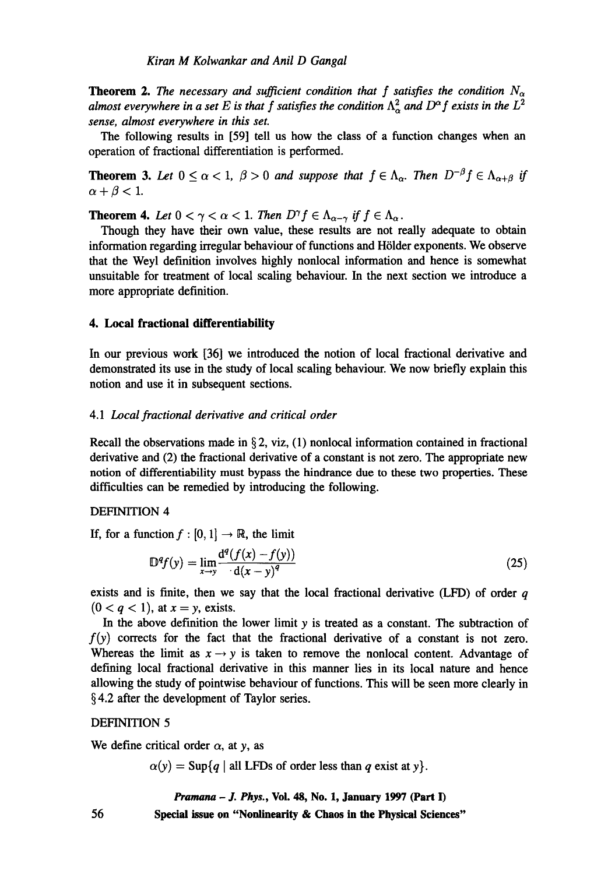**Theorem 2.** The necessary and sufficient condition that f satisfies the condition  $N_{\alpha}$ *almost everywhere in a set E is that f satisfies the condition*  $\Lambda^2$  *and D<sup>* $\alpha$ *</sup> f exists in the*  $L^2$ *sense, almost everywhere in this set.* 

The following results in [59] tell us how the class of a function changes when an operation of fractional differentiation is performed.

**Theorem 3.** Let  $0 \le \alpha < 1$ ,  $\beta > 0$  and suppose that  $f \in \Lambda_{\alpha}$ . Then  $D^{-\beta} f \in \Lambda_{\alpha+\beta}$  if  $\alpha+\beta<1$ .

**Theorem 4.** Let  $0 < \gamma < \alpha < 1$ . Then  $D^{\gamma} f \in \Lambda_{\alpha-\gamma}$  if  $f \in \Lambda_{\alpha}$ .

Though they have their own value, these results are not really adequate to obtain information regarding irregular behaviour of functions and H61der exponents. We observe that the Weyl definition involves highly nonlocal information and hence is somewhat unsuitable for treatment of local scaling behaviour. In the next section we introduce a more appropriate definition.

### 4. Local fractional differentiability

In our previous work [36] we introduced the notion of local fractional derivative and demonstrated its use in the study of local scaling behaviour. We now briefly explain this notion and use it in subsequent sections.

### *4.1 Local fractional derivative and critical order*

Recall the observations made in  $\S 2$ , viz, (1) nonlocal information contained in fractional derivative and (2) the fractional derivative of a constant is not zero. The appropriate new notion of differentiability must bypass the hindrance due to these two properties. These difficulties can be remedied by introducing the following.

### DEFINITION 4

If, for a function  $f : [0, 1] \rightarrow \mathbb{R}$ , the limit

$$
\mathbb{D}^q f(y) = \lim_{x \to y} \frac{\mathrm{d}^q (f(x) - f(y))}{\mathrm{d}(x - y)^q} \tag{25}
$$

exists and is finite, then we say that the local fractional derivative (LFD) of order  $q$  $(0 < q < 1)$ , at  $x = y$ , exists.

In the above definition the lower limit  $y$  is treated as a constant. The subtraction of  $f(y)$  corrects for the fact that the fractional derivative of a constant is not zero. Whereas the limit as  $x \rightarrow y$  is taken to remove the nonlocal content. Advantage of defining local fractional derivative in this manner lies in its local nature and hence allowing the study of pointwise behaviour of functions. This will be seen more clearly in §4.2 after the development of Taylor series.

### DEFINITION 5

We define critical order  $\alpha$ , at y, as

 $\alpha(y) = \text{Sup}\{q \mid \text{all LFDs of order less than } q \text{ exist at } y\}.$ 

## *Pramana - J. Phys.,* **Vol. 48, No. 1, January 1997 (Part I)**

**Special issue on "Nonlinearity & Chaos in the Physical Sciences"**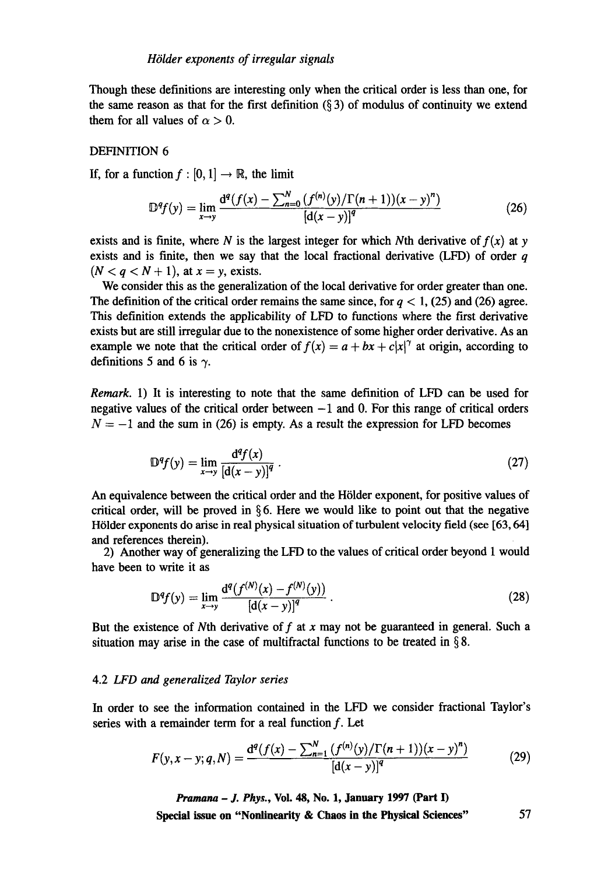Though these definitions are interesting only when the critical order is less than one, for the same reason as that for the first definition  $(\S 3)$  of modulus of continuity we extend them for all values of  $\alpha > 0$ .

### DEFINITION 6

If, for a function  $f : [0, 1] \rightarrow \mathbb{R}$ , the limit

$$
\mathbb{D}^q f(y) = \lim_{x \to y} \frac{d^q(f(x) - \sum_{n=0}^N (f^{(n)}(y) / \Gamma(n+1))(x - y)^n)}{[d(x - y)]^q}
$$
(26)

exists and is finite, where N is the largest integer for which Nth derivative of  $f(x)$  at y exists and is finite, then we say that the local fractional derivative (LFD) of order  $q$  $(N < a < N + 1)$ , at  $x = y$ , exists.

We consider this as the generalization of the local derivative for order greater than one. The definition of the critical order remains the same since, for  $q < 1$ , (25) and (26) agree. This definition extends the applicability of LFD to functions where the first derivative exists but are still irregular due to the nonexistence of some higher order derivative. As an example we note that the critical order of  $f(x) = a + bx + c|x|^\gamma$  at origin, according to definitions 5 and 6 is  $\gamma$ .

*Remark.* 1) It is interesting to note that the same definition of LFD can be used for negative values of the critical order between  $-1$  and 0. For this range of critical orders  $N = -1$  and the sum in (26) is empty. As a result the expression for LFD becomes

$$
\mathbb{D}^q f(y) = \lim_{x \to y} \frac{\mathrm{d}^q f(x)}{[\mathrm{d}(x - y)]^q} \ . \tag{27}
$$

An equivalence between the critical order and the Hölder exponent, for positive values of critical order, will be proved in  $\S 6$ . Here we would like to point out that the negative Hölder exponents do arise in real physical situation of turbulent velocity field (see [63, 64] and references therein).

2) Another way of generalizing the LFD to the values of critical order beyond 1 would have been to write it as

$$
\mathbb{D}^q f(y) = \lim_{x \to y} \frac{d^q (f^{(N)}(x) - f^{(N)}(y))}{[d(x - y)]^q}.
$$
 (28)

But the existence of Nth derivative of  $f$  at  $x$  may not be guaranteed in general. Such a situation may arise in the case of multifractal functions to be treated in § 8.

## 4.2 *LFD and generalized Taylor series*

In order to see the information contained in the LFD we consider fractional Taylor's series with a remainder term for a real function  $f$ . Let

$$
F(y, x - y; q, N) = \frac{d^{q}(f(x) - \sum_{n=1}^{N} (f^{(n)}(y) / \Gamma(n+1))(x - y)^{n})}{[d(x - y)]^{q}}
$$
(29)

## *Pramana - J. Phys.,* **Vol. 48, No. 1, January 1997 (Part I)**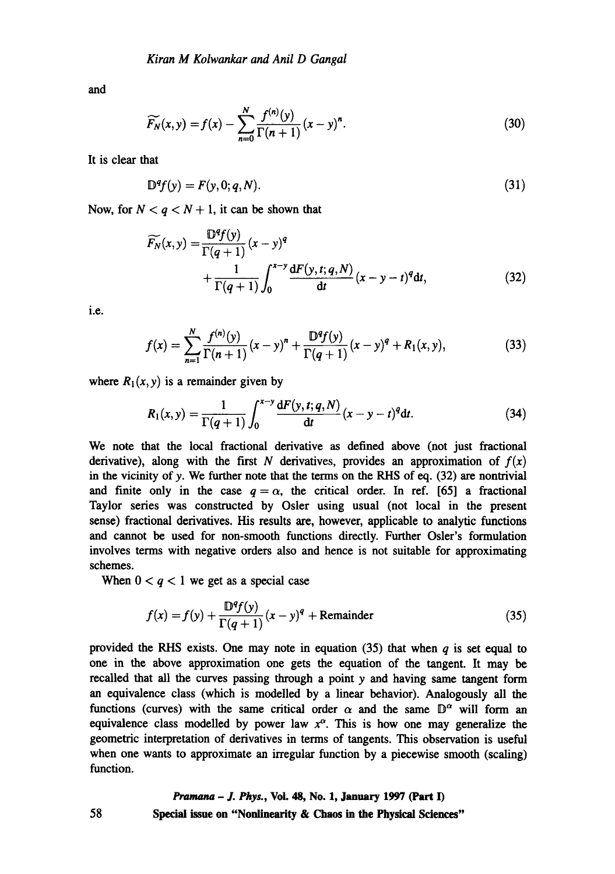and

$$
\widetilde{F}_N(x,y) = f(x) - \sum_{n=0}^N \frac{f^{(n)}(y)}{\Gamma(n+1)} (x-y)^n.
$$
 (30)

It is clear that

$$
\mathbb{D}^q f(y) = F(y, 0; q, N). \tag{31}
$$

Now, for  $N < q < N + 1$ , it can be shown that

$$
\widetilde{F}_N(x,y) = \frac{\mathbb{D}^q f(y)}{\Gamma(q+1)} (x-y)^q \n+ \frac{1}{\Gamma(q+1)} \int_0^{x-y} \frac{\mathrm{d}F(y,t;q,N)}{\mathrm{d}t} (x-y-t)^q \mathrm{d}t,
$$
\n(32)

i.e.

58

$$
f(x) = \sum_{n=1}^{N} \frac{f^{(n)}(y)}{\Gamma(n+1)} (x-y)^n + \frac{\mathbb{D}^q f(y)}{\Gamma(q+1)} (x-y)^q + R_1(x,y), \qquad (33)
$$

where  $R_1(x, y)$  is a remainder given by

$$
R_1(x,y) = \frac{1}{\Gamma(q+1)} \int_0^{x-y} \frac{dF(y,t;q,N)}{dt} (x-y-t)^q dt.
$$
 (34)

We note that the local fractional derivative as defined above (not just fractional derivative), along with the first N derivatives, provides an approximation of  $f(x)$ in the vicinity of y. We further note that the terms on the RHS of eq. (32) are nontrivial and finite only in the case  $q = \alpha$ , the critical order. In ref. [65] a fractional Taylor series was constructed by Osier using usual (not local in the present sense) fractional derivatives. His results are, however, applicable to analytic functions and cannot be used for non-smooth functions directly. Further Osler's formulation involves terms with negative orders also and hence is not suitable for approximating schemes.

When  $0 < q < 1$  we get as a special case

$$
f(x) = f(y) + \frac{\mathbb{D}^q f(y)}{\Gamma(q+1)} (x-y)^q + \text{Remainder}
$$
 (35)

provided the RHS exists. One may note in equation (35) that when  $q$  is set equal to one in the above approximation one gets the equation of the tangent. It may be recalled that all the curves passing through a point y and having same tangent form an equivalence class (which is modelled by a linear behavior). Analogously all the functions (curves) with the same critical order  $\alpha$  and the same  $\mathbb{D}^{\alpha}$  will form an equivalence class modelled by power law  $x^{\alpha}$ . This is how one may generalize the geometric interpretation of derivatives in terms of tangents. This observation is useful when one wants to approximate an irregular function by a piecewise smooth (scaling) function.

## *Pramana - J. Phys.,* **Voi. 48, No. 1, January 1997 (Part I) Special issue on "Nonlinearity & Chaos in the Physical Sciences"**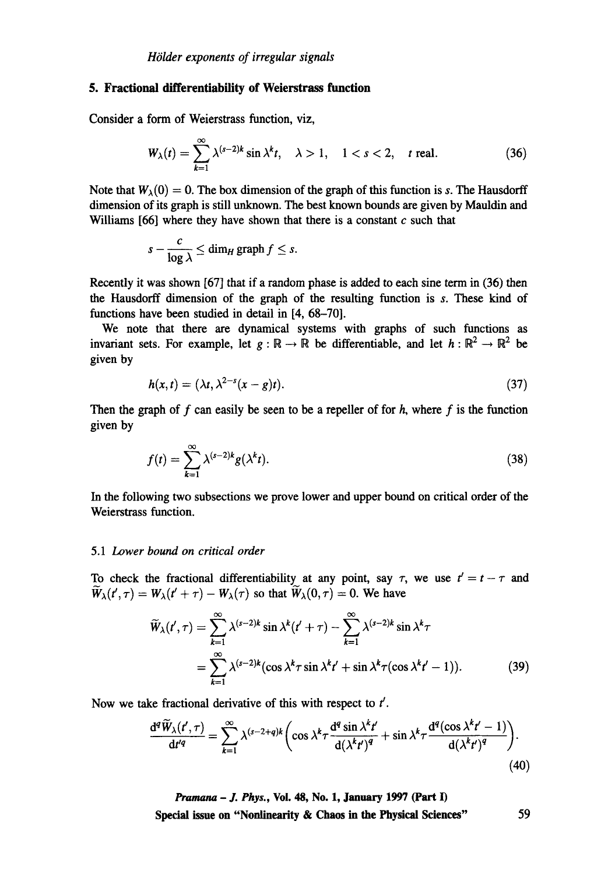### **5. Fractional differentiability of Weierstrass function**

Consider a form of Weierstrass function, viz,

$$
W_{\lambda}(t) = \sum_{k=1}^{\infty} \lambda^{(s-2)k} \sin \lambda^{k} t, \quad \lambda > 1, \quad 1 < s < 2, \quad t \text{ real.}
$$
 (36)

Note that  $W_{\lambda}(0) = 0$ . The box dimension of the graph of this function is s. The Hausdorff dimension of its graph is still unknown. The best known bounds are given by Mauldin and Williams [66] where they have shown that there is a constant  $c$  such that

$$
s-\frac{c}{\log \lambda}\leq \dim_H \text{ graph }f\leq s.
$$

Recently it was shown [67] that if a random phase is added to each sine term in (36) then the Hausdorff dimension of the graph of the resulting function is s. These kind of functions have been studied in detail in [4, 68-70].

We note that there are dynamical systems with graphs of such functions as invariant sets. For example, let  $g : \mathbb{R} \to \mathbb{R}$  be differentiable, and let  $h : \mathbb{R}^2 \to \mathbb{R}^2$  be given by

$$
h(x,t) = (\lambda t, \lambda^{2-s}(x-g)t). \tag{37}
$$

Then the graph of f can easily be seen to be a repeller of for  $h$ , where f is the function given by

$$
f(t) = \sum_{k=1}^{\infty} \lambda^{(s-2)k} g(\lambda^k t).
$$
 (38)

In the following two subsections we prove lower and upper bound on critical order of the Weierstrass function.

#### *5.1 Lower bound on critical order*

To check the fractional differentiability at any point, say  $\tau$ , we use  $t' = t - \tau$  and  $\widetilde{W}_{\lambda}(t',\tau) = W_{\lambda}(t' + \tau) - W_{\lambda}(\tau)$  so that  $\widetilde{W}_{\lambda}(0,\tau) = 0$ . We have

$$
\widetilde{W}_{\lambda}(t',\tau) = \sum_{k=1}^{\infty} \lambda^{(s-2)k} \sin \lambda^{k}(t'+\tau) - \sum_{k=1}^{\infty} \lambda^{(s-2)k} \sin \lambda^{k}\tau
$$

$$
= \sum_{k=1}^{\infty} \lambda^{(s-2)k} (\cos \lambda^{k}\tau \sin \lambda^{k}t' + \sin \lambda^{k}\tau(\cos \lambda^{k}t'-1)). \tag{39}
$$

Now we take fractional derivative of this with respect to  $t'$ .

$$
\frac{d^q \widetilde{W}_{\lambda}(t',\tau)}{dt'^q} = \sum_{k=1}^{\infty} \lambda^{(s-2+q)k} \left( \cos \lambda^k \tau \frac{d^q \sin \lambda^k t'}{d(\lambda^k t')^q} + \sin \lambda^k \tau \frac{d^q (\cos \lambda^k t' - 1)}{d(\lambda^k t')^q} \right). \tag{40}
$$

*Pramana - J. Phys.,* **Vol. 48, No. 1, January 1997 (Part I) Special issue on "Nonlinearity & Chaos in the Physical Sciences"** 59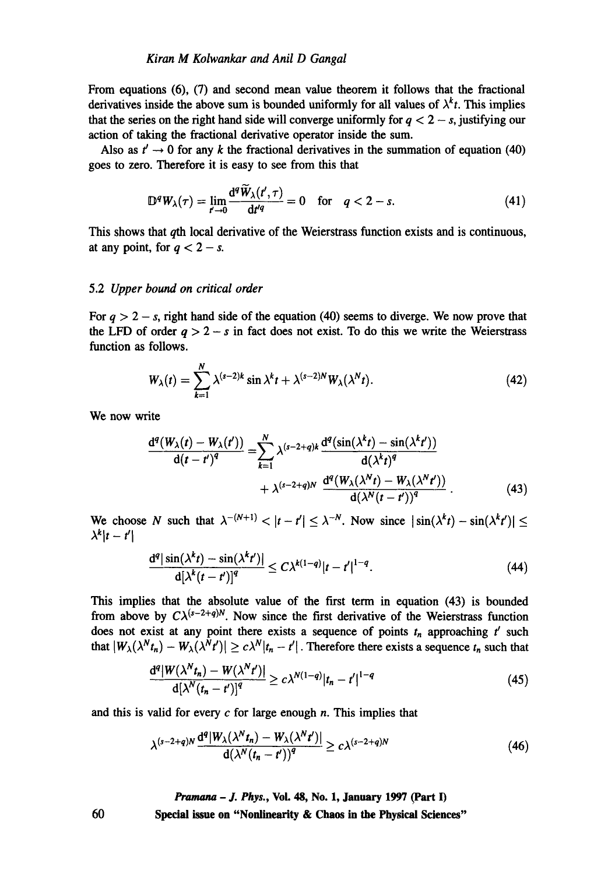From equations (6), (7) and second mean value theorem it follows that the fractional derivatives inside the above sum is bounded uniformly for all values of  $\lambda^k t$ . This implies that the series on the right hand side will converge uniformly for  $q < 2 - s$ , justifying our action of taking the fractional derivative operator inside the sum.

Also as  $t' \rightarrow 0$  for any k the fractional derivatives in the summation of equation (40) goes to zero. Therefore it is easy to see from this that

$$
\mathbb{D}^q W_\lambda(\tau) = \lim_{t' \to 0} \frac{\mathrm{d}^q \widetilde{W}_\lambda(t', \tau)}{\mathrm{d}t'^q} = 0 \quad \text{for} \quad q < 2 - s. \tag{41}
$$

This shows that qth local derivative of the Weierstrass function exists and is continuous, at any point, for  $q < 2 - s$ .

### 5.2 *Upper bound on critical order*

For  $q > 2 - s$ , right hand side of the equation (40) seems to diverge. We now prove that the LFD of order  $q > 2 - s$  in fact does not exist. To do this we write the Weierstrass function as follows.

$$
W_{\lambda}(t) = \sum_{k=1}^{N} \lambda^{(s-2)k} \sin \lambda^{k} t + \lambda^{(s-2)N} W_{\lambda}(\lambda^{N} t).
$$
 (42)

We now write

$$
\frac{d^q(W_{\lambda}(t) - W_{\lambda}(t'))}{d(t-t')^q} = \sum_{k=1}^N \lambda^{(s-2+q)k} \frac{d^q(\sin(\lambda^k t) - \sin(\lambda^k t'))}{d(\lambda^k t)^q} + \lambda^{(s-2+q)N} \frac{d^q(W_{\lambda}(\lambda^N t) - W_{\lambda}(\lambda^N t'))}{d(\lambda^N (t-t'))^q}.
$$
\n(43)

We choose N such that  $\lambda^{-(N+1)} < |t - t'| \leq \lambda^{-N}$ . Now since  $|\sin(\lambda^k t) - \sin(\lambda^k t')| \leq$  $\lambda^k |t-t'|$ 

$$
\frac{\mathrm{d}^q|\sin(\lambda^k t)-\sin(\lambda^k t')|}{\mathrm{d}[\lambda^k(t-t')]^q} \le C\lambda^{k(1-q)}|t-t'|^{1-q}.\tag{44}
$$

This implies that the absolute value of the first term in equation (43) is bounded from above by  $C\lambda^{(s-2+q)N}$ . Now since the first derivative of the Weierstrass function does not exist at any point there exists a sequence of points  $t_n$  approaching  $t'$  such that  $|W_\lambda(\lambda^N t_n) - W_\lambda(\lambda^N t')| \ge c \lambda^N |t_n - t'|$ . Therefore there exists a sequence  $t_n$  such that

$$
\frac{\mathrm{d}^q |W(\lambda^N t_n) - W(\lambda^N t')|}{\mathrm{d}[\lambda^N (t_n - t')]^q} \ge c \lambda^{N(1-q)} |t_n - t'|^{1-q}
$$
\n(45)

and this is valid for every  $c$  for large enough  $n$ . This implies that

$$
\lambda^{(s-2+q)N} \frac{\mathrm{d}^q |W_\lambda(\lambda^N t_n) - W_\lambda(\lambda^N t')|}{\mathrm{d}(\lambda^N (t_n - t'))^q} \ge c \lambda^{(s-2+q)N} \tag{46}
$$

### *Pramana - J. Phys.,* **Vol. 48, No. 1, January 1997 (Part I)**

**Special issue on "Nonlinearity & Chaos in the Physical Sciences"**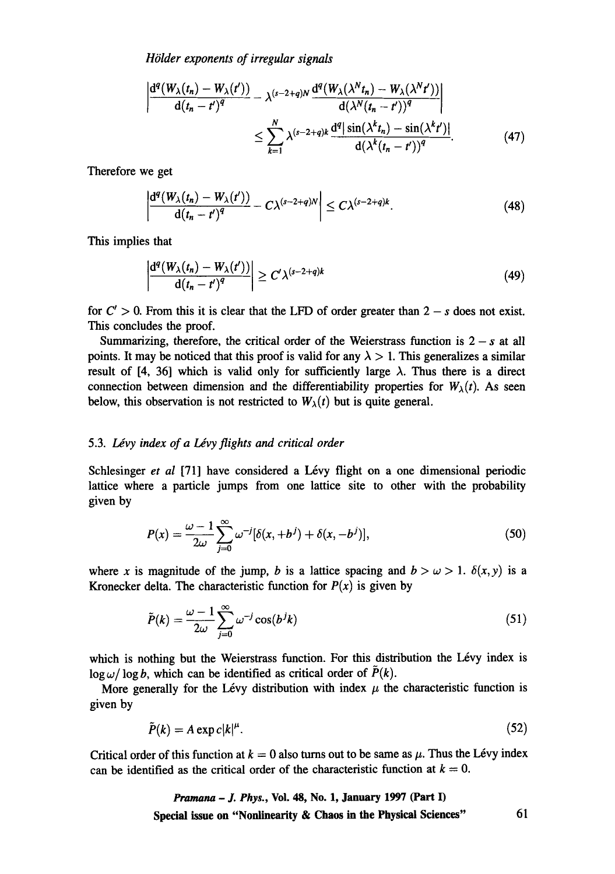*HOlder exponents of irregular signals* 

$$
\left| \frac{d^q(W_{\lambda}(t_n) - W_{\lambda}(t'))}{d(t_n - t')^q} - \lambda^{(s-2+q)N} \frac{d^q(W_{\lambda}(\lambda^N t_n) - W_{\lambda}(\lambda^N t'))}{d(\lambda^N (t_n - t'))^q} \right|
$$
  

$$
\leq \sum_{k=1}^N \lambda^{(s-2+q)k} \frac{d^q|\sin(\lambda^k t_n) - \sin(\lambda^k t')|}{d(\lambda^k (t_n - t'))^q}.
$$
 (47)

Therefore we get

$$
\left|\frac{d^q(W_\lambda(t_n)-W_\lambda(t'))}{d(t_n-t')^q}-C\lambda^{(s-2+q)N}\right|\leq C\lambda^{(s-2+q)k}.\tag{48}
$$

This implies that

$$
\left| \frac{d^q(W_\lambda(t_n) - W_\lambda(t'))}{d(t_n - t')^q} \right| \ge C' \lambda^{(s-2+q)k} \tag{49}
$$

for  $C' > 0$ . From this it is clear that the LFD of order greater than  $2 - s$  does not exist. This concludes the proof.

Summarizing, therefore, the critical order of the Weierstrass function is  $2 - s$  at all points. It may be noticed that this proof is valid for any  $\lambda > 1$ . This generalizes a similar result of [4, 36] which is valid only for sufficiently large  $\lambda$ . Thus there is a direct connection between dimension and the differentiability properties for  $W_{\lambda}(t)$ . As seen below, this observation is not restricted to  $W_{\lambda}(t)$  but is quite general.

## 5.3. Lévy index of a Lévy flights and critical order

Schlesinger *et al* [71] have considered a Lévy flight on a one dimensional periodic lattice where a particle jumps from one lattice site to other with the probability given by

$$
P(x) = \frac{\omega - 1}{2\omega} \sum_{j=0}^{\infty} \omega^{-j} [\delta(x, +b^j) + \delta(x, -b^j)],\tag{50}
$$

where x is magnitude of the jump, b is a lattice spacing and  $b > \omega > 1$ .  $\delta(x, y)$  is a Kronecker delta. The characteristic function for  $P(x)$  is given by

$$
\tilde{P}(k) = \frac{\omega - 1}{2\omega} \sum_{j=0}^{\infty} \omega^{-j} \cos(b^j k)
$$
\n(51)

which is nothing but the Weierstrass function. For this distribution the Lévy index is  $\log \omega / \log b$ , which can be identified as critical order of  $\tilde{P}(k)$ .

More generally for the Lévy distribution with index  $\mu$  the characteristic function is given by

$$
\tilde{P}(k) = A \exp c|k|^{\mu}.\tag{52}
$$

Critical order of this function at  $k = 0$  also turns out to be same as  $\mu$ . Thus the Lévy index can be identified as the critical order of the characteristic function at  $k = 0$ .

*Pramana - J. Phys.,* **Vol. 48, No. I, January 1997 (Part I) Special issue on "Nonlinearity & Chaos in the Physical Sciences" 61**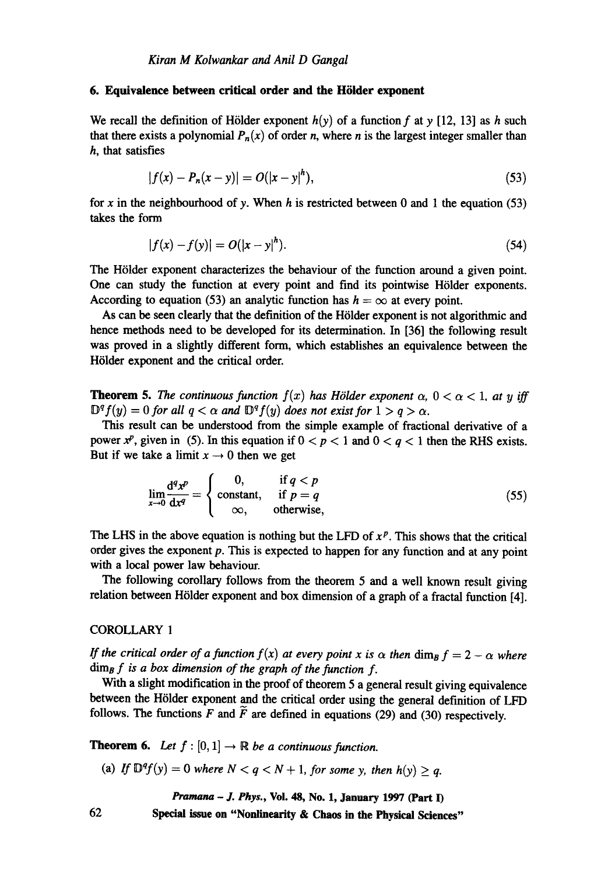### **6. Equivalence between critical order and the Hölder exponent**

We recall the definition of Hölder exponent  $h(y)$  of a function f at y [12, 13] as h such that there exists a polynomial  $P_n(x)$  of order n, where n is the largest integer smaller than h, that satisfies

$$
|f(x) - P_n(x - y)| = O(|x - y|^h),\tag{53}
$$

for x in the neighbourhood of y. When h is restricted between 0 and 1 the equation (53) takes the form

$$
|f(x) - f(y)| = O(|x - y|^h). \tag{54}
$$

The Hölder exponent characterizes the behaviour of the function around a given point. One can study the function at every point and find its pointwise HOlder exponents. According to equation (53) an analytic function has  $h = \infty$  at every point.

As can be seen clearly that the definition of the Hölder exponent is not algorithmic and hence methods need to be developed for its determination. In [36] the following result was proved in a slightly different form, which establishes an equivalence between the Hölder exponent and the critical order.

**Theorem 5.** The continuous function  $f(x)$  has Hölder exponent  $\alpha$ ,  $0 < \alpha < 1$ , at y iff  $D^q f(y) = 0$  for all  $q < \alpha$  and  $D^q f(y)$  does not exist for  $1 > q > \alpha$ .

This result can be understood from the simple example of fractional derivative of a power  $x^p$ , given in (5). In this equation if  $0 < p < 1$  and  $0 < q < 1$  then the RHS exists. But if we take a limit  $x \rightarrow 0$  then we get

$$
\lim_{x \to 0} \frac{d^q x^p}{dx^q} = \begin{cases} 0, & \text{if } q < p \\ \text{constant}, & \text{if } p = q \\ \infty, & \text{otherwise,} \end{cases} \tag{55}
$$

The LHS in the above equation is nothing but the LFD of  $x^p$ . This shows that the critical order gives the exponent  $p$ . This is expected to happen for any function and at any point with a local power law behaviour.

The following corollary follows from the theorem 5 and a well known result giving relation between Hölder exponent and box dimension of a graph of a fractal function [4].

## COROLLARY 1

*If the critical order of a function*  $f(x)$  *at every point x is*  $\alpha$  *then dim<sub>B</sub>*  $f = 2 - \alpha$  *where*  $\dim_B f$  is a box dimension of the graph of the function f.

With a slight modification in the proof of theorem 5 a general result giving equivalence between the Hölder exponent and the critical order using the general definition of LFD follows. The functions  $F$  and  $\overline{F}$  are defined in equations (29) and (30) respectively.

**Theorem 6.** Let  $f : [0,1] \to \mathbb{R}$  be a continuous function.

(a) If 
$$
\mathbb{D}^q f(y) = 0
$$
 where  $N < q < N + 1$ , for some y, then  $h(y) \geq q$ .

*~amana - J. Phys.,* Vol. 48, No. I, January 1997 (Part I)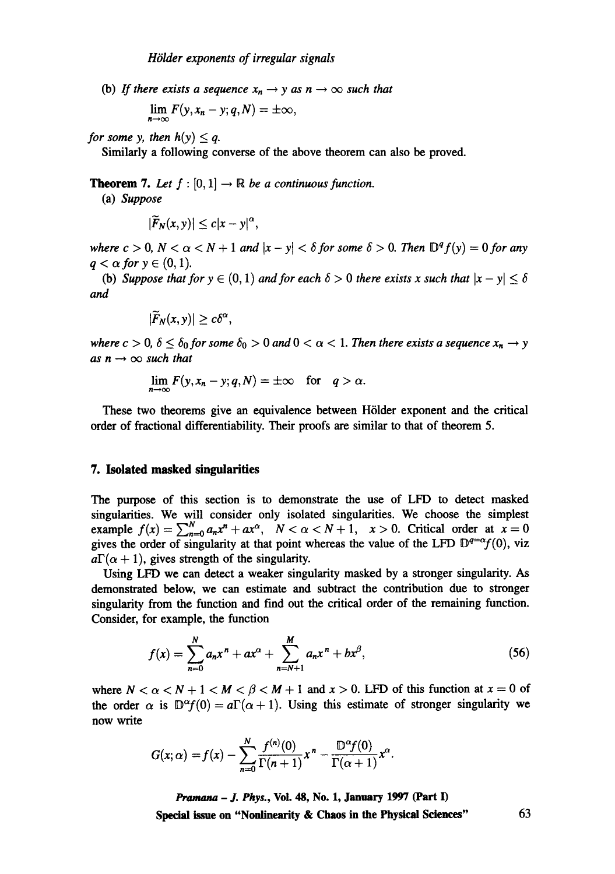(b) If there exists a sequence  $x_n \rightarrow y$  as  $n \rightarrow \infty$  such that  $\lim_{n \to \infty} F(y, x_n - y; q, N) = \pm \infty,$  $\pi{\rightarrow}\infty$ 

*for some y, then*  $h(y) \leq q$ .

Similarly a following converse of the above theorem can also be proved.

**Theorem 7.** Let  $f : [0,1] \rightarrow \mathbb{R}$  be a continuous function.

(a) *Suppose* 

$$
|\widetilde{F}_N(x,y)|\leq c|x-y|^{\alpha},
$$

where  $c > 0$ ,  $N < \alpha < N + 1$  and  $|x - y| < \delta$  for some  $\delta > 0$ . Then  $\mathbb{D}^q f(y) = 0$  for any  $q < \alpha$  for  $y \in (0, 1)$ .

(b) Suppose that for  $y \in (0, 1)$  and for each  $\delta > 0$  there exists x such that  $|x - y| \leq \delta$ *and* 

$$
|\widetilde{F}_N(x,y)|\geq c\delta^{\alpha},
$$

*where c* > 0,  $\delta \leq \delta_0$  for some  $\delta_0 > 0$  and  $0 < \alpha < 1$ . Then there exists a sequence  $x_n \to y$ as  $n \to \infty$  such that

$$
\lim_{n\to\infty}F(y,x_n-y;q,N)=\pm\infty\quad\text{for}\quad q>\alpha.
$$

These two theorems give an equivalence between Hölder exponent and the critical order of fractional differentiability. Their proofs are similar to that of theorem 5.

#### **7. Isolated masked singularities**

The purpose of this section is to demonstrate the use of LFD to detect masked singularities. We will consider only isolated singularities. We choose the simplest example  $f(x) = \sum_{n=0}^{N} a_n x^n + ax^{\alpha}$ ,  $N < \alpha < N+1$ ,  $x > 0$ . Critical order at  $x = 0$ gives the order of singularity at that point whereas the value of the LFD  $\mathbb{D}^{q=\alpha}f(0)$ , viz  $a\Gamma(\alpha + 1)$ , gives strength of the singularity.

Using LFD we can detect a weaker singularity masked by a stronger singularity. As demonstrated below, we can estimate and subtract the contribution due to stronger singularity from the function and find out the critical order of the remaining function. Consider, for example, the function

$$
f(x) = \sum_{n=0}^{N} a_n x^n + ax^{\alpha} + \sum_{n=N+1}^{M} a_n x^n + bx^{\beta},
$$
 (56)

where  $N < \alpha < N + 1 < M < \beta < M + 1$  and  $x > 0$ . LFD of this function at  $x = 0$  of the order  $\alpha$  is  $\mathbb{D}^{\alpha}f(0)=a\Gamma(\alpha+1)$ . Using this estimate of stronger singularity we now write

$$
G(x; \alpha) = f(x) - \sum_{n=0}^{N} \frac{f^{(n)}(0)}{\Gamma(n+1)} x^{n} - \frac{\mathbb{D}^{\alpha} f(0)}{\Gamma(\alpha+1)} x^{\alpha}.
$$

*Pramana - J. Phys.,* **Vol. 48, No. 1, January 1997 (Part I)**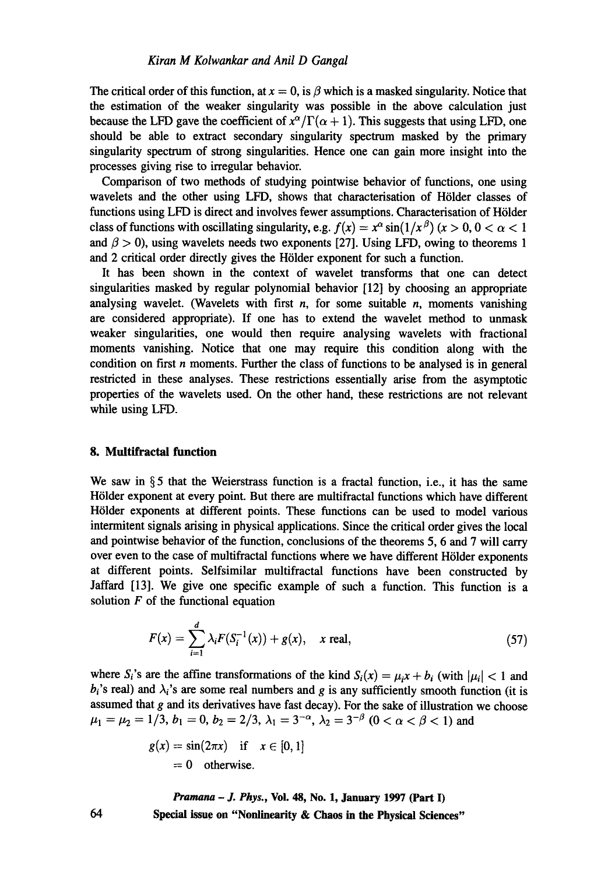The critical order of this function, at  $x = 0$ , is  $\beta$  which is a masked singularity. Notice that the estimation of the weaker singularity was possible in the above calculation just because the LFD gave the coefficient of  $x^{\alpha}/\Gamma(\alpha + 1)$ . This suggests that using LFD, one should be able to extract secondary singularity spectrum masked by the primary singularity spectrum of strong singularities. Hence one can gain more insight into the processes giving rise to irregular behavior.

Comparison of two methods of studying pointwise behavior of functions, one using wavelets and the other using LFD, shows that characterisation of Hölder classes of functions using LFD is direct and involves fewer assumptions. Characterisation of H61der class of functions with oscillating singularity, e.g.  $f(x) = x^{\alpha} \sin(1/x^{\beta})$  ( $x > 0, 0 < \alpha < 1$ ) and  $\beta$  > 0), using wavelets needs two exponents [27]. Using LFD, owing to theorems 1 and 2 critical order directly gives the Hölder exponent for such a function.

It has been shown in the context of wavelet transforms that one can detect singularities masked by regular polynomial behavior [12] by choosing an appropriate analysing wavelet. (Wavelets with first  $n$ , for some suitable  $n$ , moments vanishing are considered appropriate). If one has to extend the wavelet method to unmask weaker singularities, one would then require analysing wavelets with fractional moments vanishing. Notice that one may require this condition along with the condition on first n moments. Further the class of functions to be analysed is in general restricted in these analyses. These restrictions essentially arise from the asymptotic properties of the wavelets used. On the other hand, these restrictions are not relevant while using LFD.

### **8. Multifractal function**

We saw in  $\S$ 5 that the Weierstrass function is a fractal function, i.e., it has the same Hölder exponent at every point. But there are multifractal functions which have different Hölder exponents at different points. These functions can be used to model various intermitent signals arising in physical applications. Since the critical order gives the local and pointwise behavior of the function, conclusions of the theorems 5, 6 and 7 will carry over even to the case of multifractal functions where we have different Hölder exponents at different points. Selfsimilar multifractal functions have been constructed by Jaffard [13]. We give one specific example of such a function. This function is a solution  $F$  of the functional equation

$$
F(x) = \sum_{i=1}^{d} \lambda_i F(S_i^{-1}(x)) + g(x), \quad x \text{ real}, \tag{57}
$$

where  $S_i$ 's are the affine transformations of the kind  $S_i(x) = \mu_i x + b_i$  (with  $|\mu_i| < 1$  and  $b_i$ 's real) and  $\lambda_i$ 's are some real numbers and g is any sufficiently smooth function (it is assumed that g and its derivatives have fast decay). For the sake of illustration we choose  $\mu_1=\mu_2=1/3, b_1=0, b_2=2/3, \lambda_1=3^{-\alpha}, \lambda_2=3^{-\beta}$  (0 <  $\alpha < \beta < 1$ ) and

$$
g(x) = \sin(2\pi x) \quad \text{if} \quad x \in [0, 1]
$$

$$
= 0 \quad \text{otherwise.}
$$

*Pramana - .L Phys.,* **Vol. 48, No. 1, January 1997 (Part I)** 

**Special issue on "Nonlinearity & Chaos in the Physical Sciences"**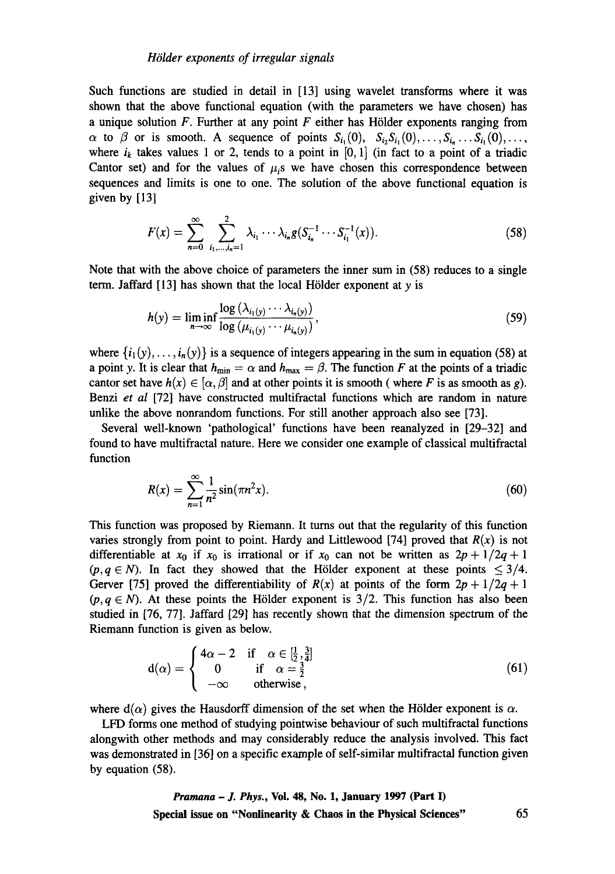Such functions are studied in detail in [13] using wavelet transforms where it was shown that the above functional equation (with the parameters we have chosen) has a unique solution  $F$ . Further at any point  $F$  either has Hölder exponents ranging from  $\alpha$  to  $\beta$  or is smooth. A sequence of points  $S_{i_1}(0), S_{i_2}S_{i_1}(0), \ldots, S_{i_n} \ldots S_{i_1}(0), \ldots$ where  $i_k$  takes values 1 or 2, tends to a point in  $[0, 1]$  (in fact to a point of a triadic Cantor set) and for the values of  $\mu$ <sub>i</sub> we have chosen this correspondence between sequences and limits is one to one. The solution of the above functional equation is given by [13]

$$
F(x) = \sum_{n=0}^{\infty} \sum_{i_1,\dots,i_n=1}^{2} \lambda_{i_1} \cdots \lambda_{i_n} g(S_{i_n}^{-1} \cdots S_{i_1}^{-1}(x)).
$$
 (58)

Note that with the above choice of parameters the inner sum in (58) reduces to a single term. Jaffard  $[13]$  has shown that the local Hölder exponent at y is

$$
h(y) = \liminf_{n \to \infty} \frac{\log(\lambda_{i_1(y)} \cdots \lambda_{i_n(y)})}{\log(\mu_{i_1(y)} \cdots \mu_{i_n(y)})},
$$
\n(59)

where  $\{i_1(y),\ldots,i_n(y)\}\$  is a sequence of integers appearing in the sum in equation (58) at a point y. It is clear that  $h_{\min} = \alpha$  and  $h_{\max} = \beta$ . The function F at the points of a triadic cantor set have  $h(x) \in [\alpha, \beta]$  and at other points it is smooth ( where F is as smooth as g). Benzi *et al* [72] have constructed multifractal functions which are random in nature unlike the above nonrandom functions. For still another approach also see [73].

Several well-known 'pathological' functions have been reanalyzed in [29-32] and found to have multifractal nature. Here we consider one example of classical multifractal function

$$
R(x) = \sum_{n=1}^{\infty} \frac{1}{n^2} \sin(\pi n^2 x).
$$
 (60)

This function was proposed by Riemann. It turns out that the regularity of this function varies strongly from point to point. Hardy and Littlewood  $[74]$  proved that  $R(x)$  is not differentiable at  $x_0$  if  $x_0$  is irrational or if  $x_0$  can not be written as  $2p + 1/2q + 1$  $(p, q \in N)$ . In fact they showed that the Hölder exponent at these points  $\leq 3/4$ . Gerver [75] proved the differentiability of  $R(x)$  at points of the form  $2p + 1/2q + 1$  $(p, q \in N)$ . At these points the Hölder exponent is 3/2. This function has also been studied in [76, 77]. Jaffard [29] has recently shown that the dimension spectrum of the Riemann function is given as below.

$$
d(\alpha) = \begin{cases} 4\alpha - 2 & \text{if } \alpha \in \left[\frac{1}{2}, \frac{3}{4}\right] \\ 0 & \text{if } \alpha = \frac{3}{2} \\ -\infty & \text{otherwise} \end{cases}
$$
(61)

where  $d(\alpha)$  gives the Hausdorff dimension of the set when the Hölder exponent is  $\alpha$ .

LFD forms one method of studying pointwise behaviour of such mulfifractal functions alongwith other methods and may considerably reduce the analysis involved. This fact was demonstrated in [36] on a specific example of self-similar multifractal function given by equation (58).

*Pramana - J. Phys.,* **Vol. 48, No. 1, January 1997 (Part I) Special issue on "Nonlinearity & Chaos in the Physical Sciences"** 65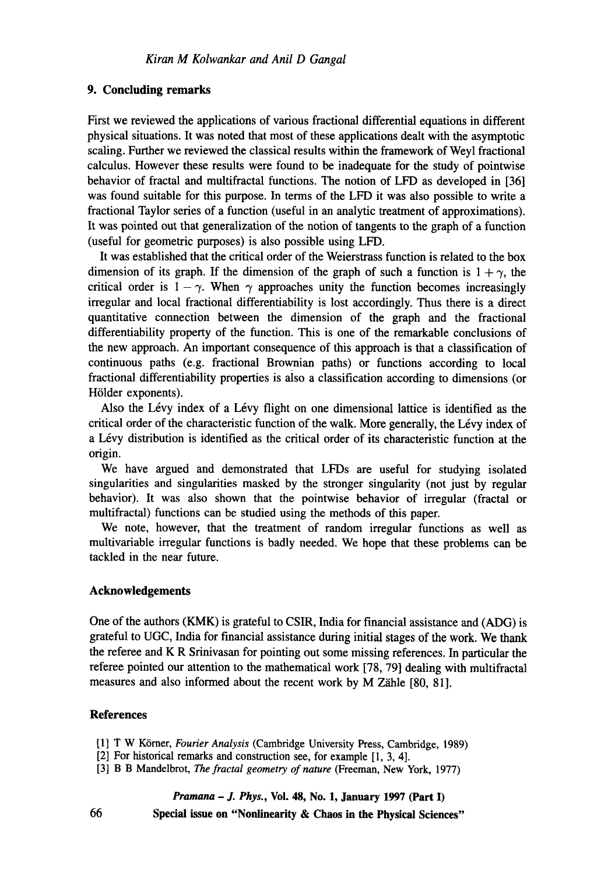## **9. Concluding remarks**

First we reviewed the applications of various fractional differential equations in different physical situations. It was noted that most of these applications dealt with the asymptotic scaling. Further we reviewed the classical results within the framework of Weyl fractional calculus. However these results were found to be inadequate for the study of pointwise behavior of fractal and multifractal functions. The notion of LFD as developed in [36] was found suitable for this purpose. In terms of the LFD it was also possible to write a fractional Taylor series of a function (useful in an analytic treatment of approximations). It was pointed out that generalization of the notion of tangents to the graph of a function (useful for geometric purposes) is also possible using LFD.

It was established that the critical order of the Weierstrass function is related to the box dimension of its graph. If the dimension of the graph of such a function is  $1 + \gamma$ , the critical order is  $1 - \gamma$ . When  $\gamma$  approaches unity the function becomes increasingly irregular and local fractional differentiability is lost accordingly. Thus there is a direct quantitative connection between the dimension of the graph and the fractional differentiability property of the function. This is one of the remarkable conclusions of the new approach. An important consequence of this approach is that a classification of continuous paths (e.g. fractional Brownian paths) or functions according to local fractional differentiability properties is also a classification according to dimensions (or Hölder exponents).

Also the Lévy index of a Lévy flight on one dimensional lattice is identified as the critical order of the characteristic function of the walk. More generally, the Lévy index of a Lévy distribution is identified as the critical order of its characteristic function at the origin.

We have argued and demonstrated that LFDs are useful for studying isolated singularities and singularities masked by the stronger singularity (not just by regular behavior). It was also shown that the pointwise behavior of irregular (fractal or multifractal) functions can be studied using the methods of this paper.

We note, however, that the treatment of random irregular functions as well as multivariable irregular functions is badly needed. We hope that these problems can be tackled in the near future.

### **Acknowledgements**

One of the authors (KMK) is grateful to CS1R, India for financial assistance and (ADG) is grateful to UGC, India for financial assistance during initial stages of the work. We thank the referee and K R Srinivasan for pointing out some missing references. In particular the referee pointed our attention to the mathematical work [78, 79] dealing with multifractal measures and also informed about the recent work by M Zähle [80, 81].

## **References**

- [1] T W Körner, *Fourier Analysis* (Cambridge University Press, Cambridge, 1989)
- [2] For historical remarks and construction see, for example [1, 3, 4].
- [3] B B Mandelbrot, *The fractal geometry of nature* (Freeman, New York, 1977)

*Pramana - J. Phys.,* **Vol. 48, No. 1, January 1997 (Part I)**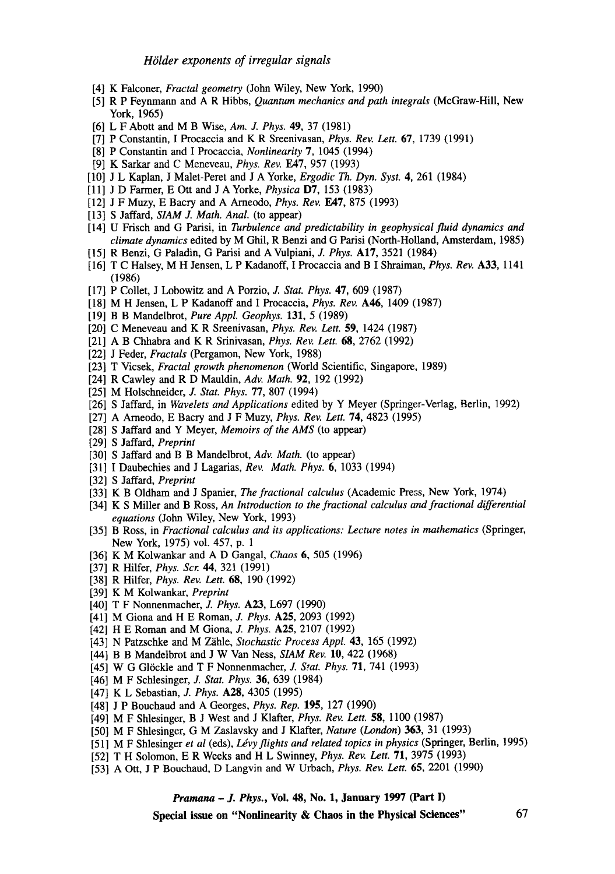- [4] K Falconer, *Fractal geometry* (John Wiley, New York, 1990)
- [5] R P Feynmann and A R Hibbs, *Quantum mechanics and path integrals* (McGraw-Hill, New York, 1965)
- [6] L F Abott and M B Wise, *Am. J. Phys.* 49, 37 (1981)
- [7] P Constantin, I Procaccia and K R Sreenivasan, *Phys. Rev. Lett.* 67, 1739 (1991)
- [8] P Constantin and I Procaccia, *Nonlinearity* 7, 1045 (1994)
- [9] K Sarkar and C Meneveau, *Phys. Rev.* E47, 957 (1993)
- [10] J L Kaplan, J Malet-Peret and J A Yorke, *Ergodic Th. Dyn. Syst.* 4, 261 (1984)
- [11] J D Farmer, E Ott and J A Yorke, *Physica* D7, 153 (1983)
- [12] J F Muzy, E Bacry and A Arneodo, *Phys. Rev.* E47, 875 (1993)
- [13] S Jaffard, *SIAM J. Math. Anal.* (to appear)
- [14] U Frisch and G Parisi, in *Turbulence and predictability in geophysical fluid dynamics and climate dynamics* edited by M Ghil, R Benzi and G Parisi (North-Holland, Amsterdam, 1985)
- [15] R Benzi, G Paladin, G Parisi and A Vulpiani, J. *Phys.* A17, 3521 (1984)
- [16] T C Halsey, M H Jensen, L P Kadanoff, I Procaccia and B I Shraiman, *Phys. Rev.* A33, 1141 (1986)
- [17] P Collet, J Lobowitz and A Porzio, *J. Stat. Phys.* 47, 609 (1987)
- [18] M H Jensen, L P Kadanoff and I Procaccia, *Phys. Rev.* A46, 1409 (1987)
- [19] B B Mandelbrot, *Pure Appl. Geophys.* 131, 5 (1989)
- [20] C Meneveau and K R Sreenivasan, *Phys. Rev. Lett.* **59,** 1424 (1987)
- [21] A B Chhabra and K R Srinivasan, *Phys. Rev. Lett.* 68, 2762 (1992)
- [22] J Feder, *Fractals* (Pergamon, New York, 1988)
- [23] T Vicsek, *Fractal growth phenomenon* (World Scientific, Singapore, 1989)
- [24] R Cawley and R D Mauldin, *Adv. Math.* 92, 192 (1992)
- [25] M Holschneider, J. *Stat. Phys.* 77, 807 (1994)
- [26] S Jaffard, in *Wavelets and Applications* edited by Y Meyer (Springer-Verlag, Berlin, 1992)
- [27] A Arneodo, E Bacry and J F Muzy, *Phys. Rev. Lett.* 74, 4823 (1995)
- [28] S Jaffard and Y Meyer, *Memoirs of the AMS* (to appear)
- [29] S Jaffard, *Preprint*
- [30] S Jaffard and B B Mandelbrot, *Adv. Math.* (to appear)
- [31] I Daubechies and J Lagarias, *Rev. Math. Phys.* 6, 1033 (1994)
- [32] S Jaffard, *Preprint*
- [33] K B Oldham and J Spanier, *The fractional calculus* (Academic Press, New York, 1974)
- [34] K S Miller and B Ross, *An Introduction to the fractional calculus and fractional differential equations* (John Wiley, New York, 1993)
- [35] B Ross, in *Fractional calculus and its applications: Lecture notes in mathematics* (Springer, New York, 1975) vol. 457, p. 1
- [36] K M Kolwankar and A D Gangal, *Chaos* 6, 505 (1996)
- [37] R Hilfer, *Phys. Scr.* 44, 321 (1991)
- [38] R Hilfer, *Phys. Rev. Lett.* 68, 190 (1992)
- [39] K M Kolwankar, *Preprint*
- [40] T F Nonnenmacher, J. *Phys.* A23, L697 (1990)
- [41] M Giona and H E Roman, *J. Phys.* A25, 2093 (1992)
- [42] H E Roman and M Giona, J. *Phys.* A25, 2107 (1992)
- [43] N Patzschke and M Zähle, *Stochastic Process Appl.* **43**, 165 (1992)
- [44] B B Mandelbrot and J W Van Ness, *SIAM Rev.* 10, 422 (1968)
- [45] W G Glöckle and T F Nonnenmacher, *J. Stat. Phys.* **71**, 741 (1993)
- [46] M F Schlesinger, *J. Stat. Phys.* 36, 639 (1984)
- [47] K L Sebastian, *J. Phys.* A28, 4305 (1995)
- [48] J P Bouchaud and A Georges, *Phys. Rep.* 195, 127 (1990)
- [49] M F Shlesinger, B J West and J Klafter, *Phys. Rev. Lett.* 58, 1100 (1987)
- [50] M F Shlesinger, G M Zaslavsky and J Klafter, *Nature (London)* 363, 31 (1993)
- [51] M F Shlesinger et al (eds), *Lévy flights and related topics in physics* (Springer, Berlin, 1995)
- [52] T H Solomon, E R Weeks and H L Swinney, *Phys. Rev. Lett.* 71, 3975 (1993)
- [53] A Ott, J P Bouchaud, D Langvin and W Urbach, *Phys. Rev. Lett.* 65, 2201 (1990)

*Pramana - J. Phys.,* **Vol. 48, No. 1, January 1997 (Part I)**